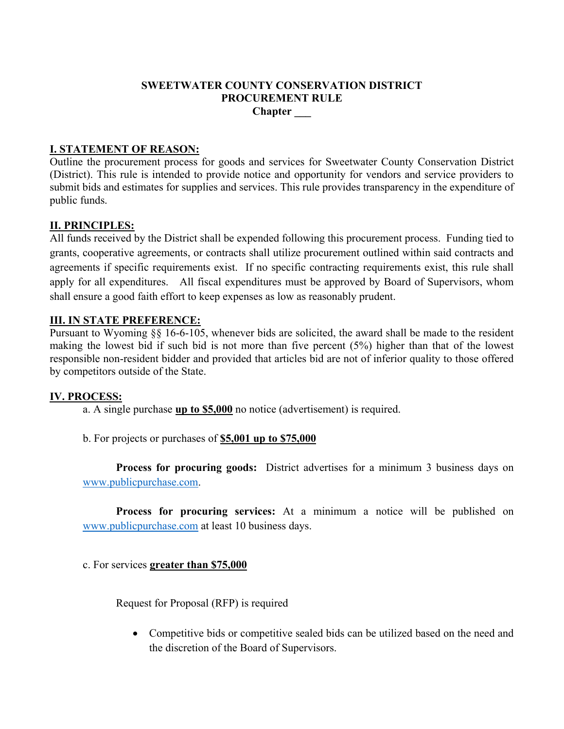### **SWEETWATER COUNTY CONSERVATION DISTRICT PROCUREMENT RULE Chapter \_\_\_**

## **I. STATEMENT OF REASON:**

Outline the procurement process for goods and services for Sweetwater County Conservation District (District). This rule is intended to provide notice and opportunity for vendors and service providers to submit bids and estimates for supplies and services. This rule provides transparency in the expenditure of public funds.

### **II. PRINCIPLES:**

All funds received by the District shall be expended following this procurement process. Funding tied to grants, cooperative agreements, or contracts shall utilize procurement outlined within said contracts and agreements if specific requirements exist. If no specific contracting requirements exist, this rule shall apply for all expenditures. All fiscal expenditures must be approved by Board of Supervisors, whom shall ensure a good faith effort to keep expenses as low as reasonably prudent.

### **III. IN STATE PREFERENCE:**

Pursuant to Wyoming §§ 16-6-105, whenever bids are solicited, the award shall be made to the resident making the lowest bid if such bid is not more than five percent (5%) higher than that of the lowest responsible non-resident bidder and provided that articles bid are not of inferior quality to those offered by competitors outside of the State.

#### **IV. PROCESS:**

- a. A single purchase **up to \$5,000** no notice (advertisement) is required.
- b. For projects or purchases of **\$5,001 up to \$75,000**

**Process for procuring goods:** District advertises for a minimum 3 business days on [www.publicpurchase.com.](http://www.publicpurchase.com/)

**Process for procuring services:** At a minimum a notice will be published on [www.publicpurchase.com](http://www.publicpurchase.com/) at least 10 business days.

c. For services **greater than \$75,000**

Request for Proposal (RFP) is required

• Competitive bids or competitive sealed bids can be utilized based on the need and the discretion of the Board of Supervisors.